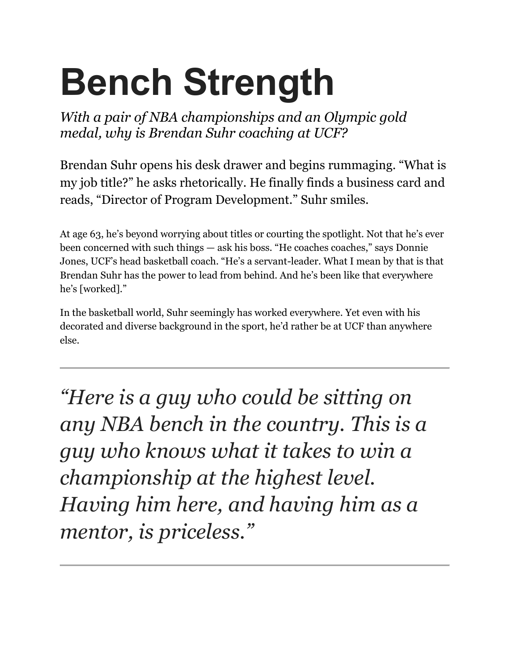## **Bench Strength**

*With a pair of NBA championships and an Olympic gold medal, why is Brendan Suhr coaching at UCF?*

Brendan Suhr opens his desk drawer and begins rummaging. "What is my job title?" he asks rhetorically. He finally finds a business card and reads, "Director of Program Development." Suhr smiles.

At age 63, he's beyond worrying about titles or courting the spotlight. Not that he's ever been concerned with such things — ask his boss. "He coaches coaches," says Donnie Jones, UCF's head basketball coach. "He's a servant-leader. What I mean by that is that Brendan Suhr has the power to lead from behind. And he's been like that everywhere he's [worked]."

In the basketball world, Suhr seemingly has worked everywhere. Yet even with his decorated and diverse background in the sport, he'd rather be at UCF than anywhere else.

*"Here is a guy who could be sitting on any NBA bench in the country. This is a guy who knows what it takes to win a championship at the highest level. Having him here, and having him as a mentor, is priceless."*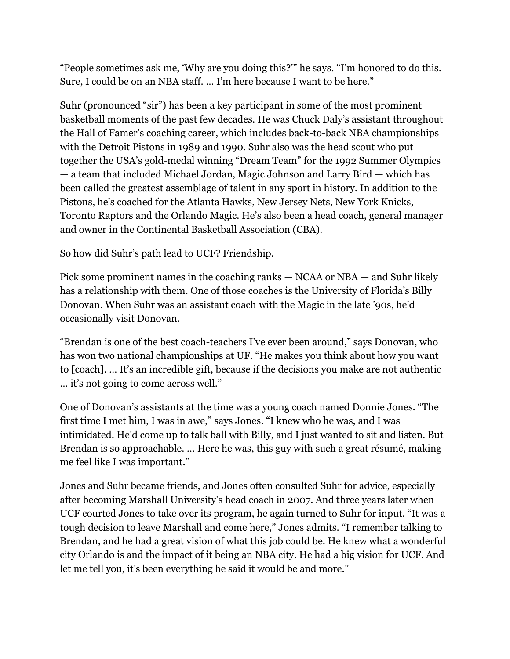"People sometimes ask me, 'Why are you doing this?'" he says. "I'm honored to do this. Sure, I could be on an NBA staff. … I'm here because I want to be here."

Suhr (pronounced "sir") has been a key participant in some of the most prominent basketball moments of the past few decades. He was Chuck Daly's assistant throughout the Hall of Famer's coaching career, which includes back-to-back NBA championships with the Detroit Pistons in 1989 and 1990. Suhr also was the head scout who put together the USA's gold-medal winning "Dream Team" for the 1992 Summer Olympics — a team that included Michael Jordan, Magic Johnson and Larry Bird — which has been called the greatest assemblage of talent in any sport in history. In addition to the Pistons, he's coached for the Atlanta Hawks, New Jersey Nets, New York Knicks, Toronto Raptors and the Orlando Magic. He's also been a head coach, general manager and owner in the Continental Basketball Association (CBA).

So how did Suhr's path lead to UCF? Friendship.

Pick some prominent names in the coaching ranks — NCAA or NBA — and Suhr likely has a relationship with them. One of those coaches is the University of Florida's Billy Donovan. When Suhr was an assistant coach with the Magic in the late '90s, he'd occasionally visit Donovan.

"Brendan is one of the best coach-teachers I've ever been around," says Donovan, who has won two national championships at UF. "He makes you think about how you want to [coach]. … It's an incredible gift, because if the decisions you make are not authentic … it's not going to come across well."

One of Donovan's assistants at the time was a young coach named Donnie Jones. "The first time I met him, I was in awe," says Jones. "I knew who he was, and I was intimidated. He'd come up to talk ball with Billy, and I just wanted to sit and listen. But Brendan is so approachable. … Here he was, this guy with such a great résumé, making me feel like I was important."

Jones and Suhr became friends, and Jones often consulted Suhr for advice, especially after becoming Marshall University's head coach in 2007. And three years later when UCF courted Jones to take over its program, he again turned to Suhr for input. "It was a tough decision to leave Marshall and come here," Jones admits. "I remember talking to Brendan, and he had a great vision of what this job could be. He knew what a wonderful city Orlando is and the impact of it being an NBA city. He had a big vision for UCF. And let me tell you, it's been everything he said it would be and more."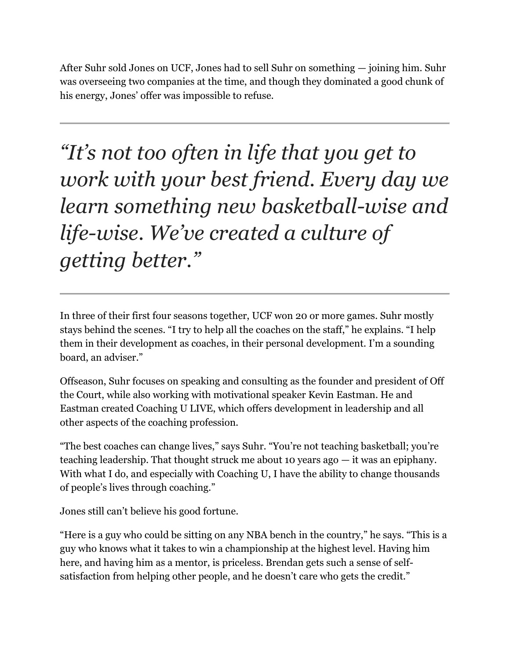After Suhr sold Jones on UCF, Jones had to sell Suhr on something — joining him. Suhr was overseeing two companies at the time, and though they dominated a good chunk of his energy, Jones' offer was impossible to refuse.

*"It's not too often in life that you get to work with your best friend. Every day we learn something new basketball-wise and life-wise. We've created a culture of getting better."*

In three of their first four seasons together, UCF won 20 or more games. Suhr mostly stays behind the scenes. "I try to help all the coaches on the staff," he explains. "I help them in their development as coaches, in their personal development. I'm a sounding board, an adviser."

Offseason, Suhr focuses on speaking and consulting as the founder and president of Off the Court, while also working with motivational speaker Kevin Eastman. He and Eastman created Coaching U LIVE, which offers development in leadership and all other aspects of the coaching profession.

"The best coaches can change lives," says Suhr. "You're not teaching basketball; you're teaching leadership. That thought struck me about 10 years ago — it was an epiphany. With what I do, and especially with Coaching U, I have the ability to change thousands of people's lives through coaching."

Jones still can't believe his good fortune.

"Here is a guy who could be sitting on any NBA bench in the country," he says. "This is a guy who knows what it takes to win a championship at the highest level. Having him here, and having him as a mentor, is priceless. Brendan gets such a sense of selfsatisfaction from helping other people, and he doesn't care who gets the credit."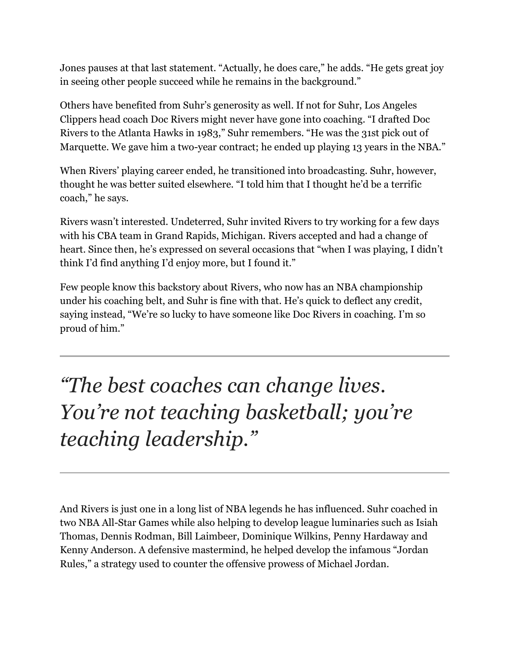Jones pauses at that last statement. "Actually, he does care," he adds. "He gets great joy in seeing other people succeed while he remains in the background."

Others have benefited from Suhr's generosity as well. If not for Suhr, Los Angeles Clippers head coach Doc Rivers might never have gone into coaching. "I drafted Doc Rivers to the Atlanta Hawks in 1983," Suhr remembers. "He was the 31st pick out of Marquette. We gave him a two-year contract; he ended up playing 13 years in the NBA."

When Rivers' playing career ended, he transitioned into broadcasting. Suhr, however, thought he was better suited elsewhere. "I told him that I thought he'd be a terrific coach," he says.

Rivers wasn't interested. Undeterred, Suhr invited Rivers to try working for a few days with his CBA team in Grand Rapids, Michigan. Rivers accepted and had a change of heart. Since then, he's expressed on several occasions that "when I was playing, I didn't think I'd find anything I'd enjoy more, but I found it."

Few people know this backstory about Rivers, who now has an NBA championship under his coaching belt, and Suhr is fine with that. He's quick to deflect any credit, saying instead, "We're so lucky to have someone like Doc Rivers in coaching. I'm so proud of him."

*"The best coaches can change lives. You're not teaching basketball; you're teaching leadership."*

And Rivers is just one in a long list of NBA legends he has influenced. Suhr coached in two NBA All-Star Games while also helping to develop league luminaries such as Isiah Thomas, Dennis Rodman, Bill Laimbeer, Dominique Wilkins, Penny Hardaway and Kenny Anderson. A defensive mastermind, he helped develop the infamous "Jordan Rules," a strategy used to counter the offensive prowess of Michael Jordan.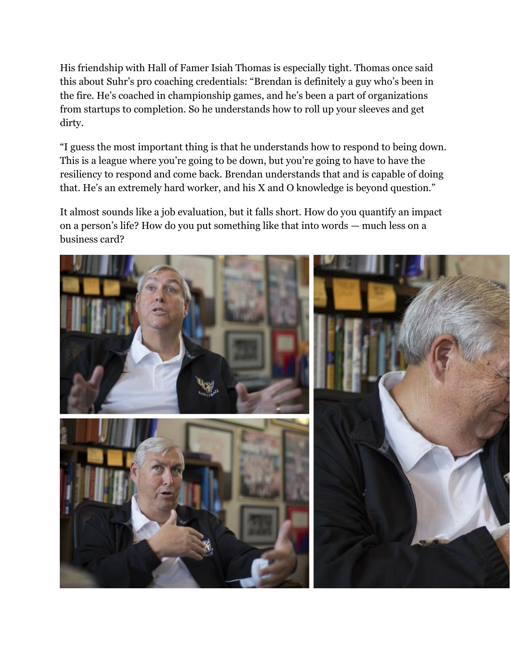His friendship with Hall of Famer Isiah Thomas is especially tight. Thomas once said this about Suhr's pro coaching credentials: "Brendan is definitely a guy who's been in the fire. He's coached in championship games, and he's been a part of organizations from startups to completion. So he understands how to roll up your sleeves and get dirty.

"I guess the most important thing is that he understands how to respond to being down. This is a league where you're going to be down, but you're going to have to have the resiliency to respond and come back. Brendan understands that and is capable of doing that. He's an extremely hard worker, and his X and O knowledge is beyond question."

It almost sounds like a job evaluation, but it falls short. How do you quantify an impact on a person's life? How do you put something like that into words — much less on a business card?